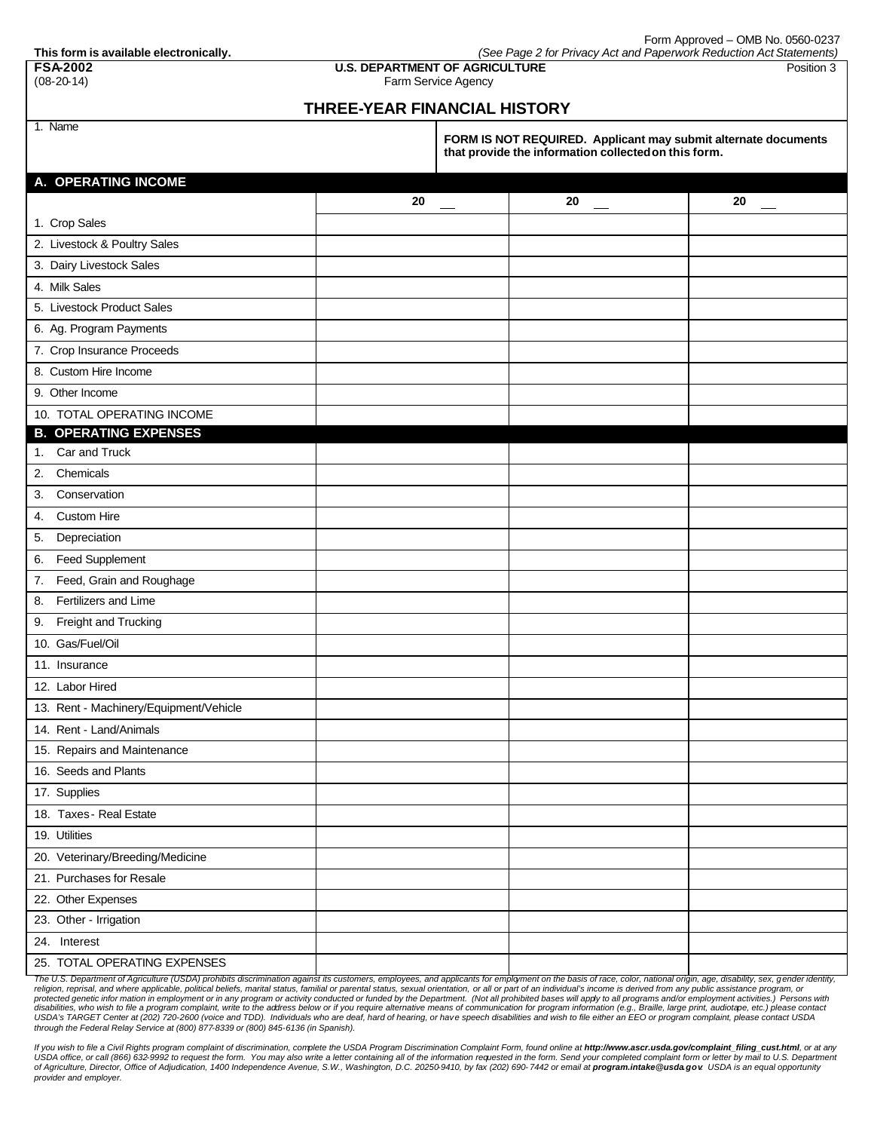Form Approved – OMB No. 0560-0237

**This form is available electronically.** *(See Page 2 for Privacy Act and Paperwork Reduction Act Statements)* **FSA-2002 U.S. DEPARTMENT OF AGRICULTURE** Position 3

(08-20-14) Farm Service Agency

## **THREE-YEAR FINANCIAL HISTORY**

1. Name

**FORM IS NOT REQUIRED. Applicant may submit alternate documents that provide the information collectedon this form.**

| A. OPERATING INCOME                    |    |    |    |
|----------------------------------------|----|----|----|
|                                        | 20 | 20 | 20 |
| 1. Crop Sales                          |    |    |    |
| 2. Livestock & Poultry Sales           |    |    |    |
| 3. Dairy Livestock Sales               |    |    |    |
| 4. Milk Sales                          |    |    |    |
| 5. Livestock Product Sales             |    |    |    |
| 6. Ag. Program Payments                |    |    |    |
| 7. Crop Insurance Proceeds             |    |    |    |
| 8. Custom Hire Income                  |    |    |    |
| 9. Other Income                        |    |    |    |
| 10. TOTAL OPERATING INCOME             |    |    |    |
| <b>B. OPERATING EXPENSES</b>           |    |    |    |
| Car and Truck<br>1.                    |    |    |    |
| Chemicals<br>2.                        |    |    |    |
| Conservation<br>3.                     |    |    |    |
| <b>Custom Hire</b><br>4.               |    |    |    |
| Depreciation<br>5.                     |    |    |    |
| Feed Supplement<br>6.                  |    |    |    |
| Feed, Grain and Roughage<br>7.         |    |    |    |
| Fertilizers and Lime<br>8.             |    |    |    |
| Freight and Trucking<br>9.             |    |    |    |
| 10. Gas/Fuel/Oil                       |    |    |    |
| 11. Insurance                          |    |    |    |
| 12. Labor Hired                        |    |    |    |
| 13. Rent - Machinery/Equipment/Vehicle |    |    |    |
| 14. Rent - Land/Animals                |    |    |    |
| 15. Repairs and Maintenance            |    |    |    |
| 16. Seeds and Plants                   |    |    |    |
| 17. Supplies                           |    |    |    |
| 18. Taxes - Real Estate                |    |    |    |
| 19. Utilities                          |    |    |    |
| 20. Veterinary/Breeding/Medicine       |    |    |    |
| 21. Purchases for Resale               |    |    |    |
| 22. Other Expenses                     |    |    |    |
| 23. Other - Irrigation                 |    |    |    |
| 24. Interest                           |    |    |    |
| 25. TOTAL OPERATING EXPENSES           |    |    |    |

The U.S. Department of Agriculture (USDA) prohibits discrimination against its customers, employees, and applicants for employment on the basis of race, color, national origin, age, disability, sex, gender ide. religion, reprisal, and where applicable, political beliefs, marital status, familial or parental status, sexual orientation, or all or part of an individual's income is derived from any public assistance program, or<br>prote *through the Federal Relay Service at (800) 877-8339 or (800) 845-6136 (in Spanish).* 

If you wish to file a Civil Rights program complaint of discrimination, complete the USDA Program Discrimination Complaint Form, found online at http://www.ascr.usda.gov/complaint\_filing\_cust.html, or at any USDA office, or call (866) 632-9992 to request the form. You may also write a letter containing all of the information requested in the form. Send your completed complaint form or letter by mail to U.S. Department<br>of Agric *provider and employer.*